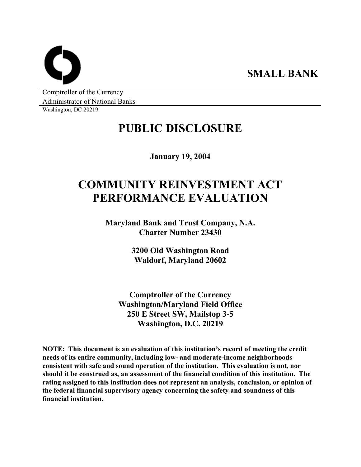**SMALL BANK** 

Comptroller of the Currency Administrator of National Banks

Washington, DC 20219

## **PUBLIC DISCLOSURE**

**January 19, 2004** 

# **COMMUNITY REINVESTMENT ACT PERFORMANCE EVALUATION**

**Maryland Bank and Trust Company, N.A. Charter Number 23430** 

> **3200 Old Washington Road Waldorf, Maryland 20602**

**Comptroller of the Currency Washington/Maryland Field Office 250 E Street SW, Mailstop 3-5 Washington, D.C. 20219** 

**NOTE: This document is an evaluation of this institution's record of meeting the credit needs of its entire community, including low- and moderate-income neighborhoods consistent with safe and sound operation of the institution. This evaluation is not, nor should it be construed as, an assessment of the financial condition of this institution. The rating assigned to this institution does not represent an analysis, conclusion, or opinion of the federal financial supervisory agency concerning the safety and soundness of this financial institution.**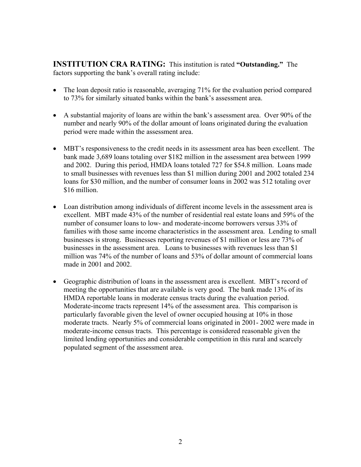**INSTITUTION CRA RATING:** This institution is rated **"Outstanding."** The factors supporting the bank's overall rating include:

- The loan deposit ratio is reasonable, averaging 71% for the evaluation period compared to 73% for similarly situated banks within the bank's assessment area.
- A substantial majority of loans are within the bank's assessment area. Over 90% of the number and nearly 90% of the dollar amount of loans originated during the evaluation period were made within the assessment area.
- MBT's responsiveness to the credit needs in its assessment area has been excellent. The bank made 3,689 loans totaling over \$182 million in the assessment area between 1999 and 2002. During this period, HMDA loans totaled 727 for \$54.8 million. Loans made to small businesses with revenues less than \$1 million during 2001 and 2002 totaled 234 loans for \$30 million, and the number of consumer loans in 2002 was 512 totaling over \$16 million.
- Loan distribution among individuals of different income levels in the assessment area is excellent. MBT made 43% of the number of residential real estate loans and 59% of the number of consumer loans to low- and moderate-income borrowers versus 33% of families with those same income characteristics in the assessment area. Lending to small businesses is strong. Businesses reporting revenues of \$1 million or less are 73% of businesses in the assessment area. Loans to businesses with revenues less than \$1 million was 74% of the number of loans and 53% of dollar amount of commercial loans made in 2001 and 2002.
- Geographic distribution of loans in the assessment area is excellent. MBT's record of meeting the opportunities that are available is very good. The bank made 13% of its HMDA reportable loans in moderate census tracts during the evaluation period. Moderate-income tracts represent 14% of the assessment area. This comparison is particularly favorable given the level of owner occupied housing at 10% in those moderate tracts. Nearly 5% of commercial loans originated in 2001- 2002 were made in moderate-income census tracts. This percentage is considered reasonable given the limited lending opportunities and considerable competition in this rural and scarcely populated segment of the assessment area.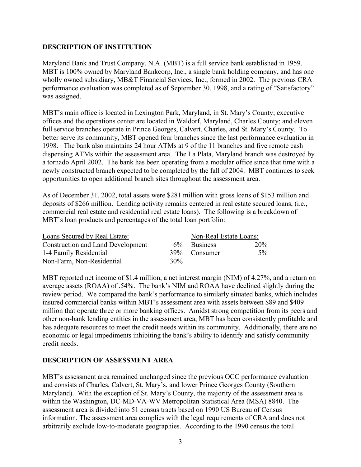## **DESCRIPTION OF INSTITUTION**

Maryland Bank and Trust Company, N.A. (MBT) is a full service bank established in 1959. MBT is 100% owned by Maryland Bankcorp, Inc., a single bank holding company, and has one wholly owned subsidiary, MB&T Financial Services, Inc., formed in 2002. The previous CRA performance evaluation was completed as of September 30, 1998, and a rating of "Satisfactory" was assigned.

MBT's main office is located in Lexington Park, Maryland, in St. Mary's County; executive offices and the operations center are located in Waldorf, Maryland, Charles County; and eleven full service branches operate in Prince Georges, Calvert, Charles, and St. Mary's County. To better serve its community, MBT opened four branches since the last performance evaluation in 1998. The bank also maintains 24 hour ATMs at 9 of the 11 branches and five remote cash dispensing ATMs within the assessment area. The La Plata, Maryland branch was destroyed by a tornado April 2002. The bank has been operating from a modular office since that time with a newly constructed branch expected to be completed by the fall of 2004. MBT continues to seek opportunities to open additional branch sites throughout the assessment area.

As of December 31, 2002, total assets were \$281 million with gross loans of \$153 million and deposits of \$266 million. Lending activity remains centered in real estate secured loans, (i.e., commercial real estate and residential real estate loans). The following is a breakdown of MBT's loan products and percentages of the total loan portfolio:

| Loans Secured by Real Estate:     | Non-Real Estate Loans: |              |       |
|-----------------------------------|------------------------|--------------|-------|
| Construction and Land Development |                        | 6% Business  | 20%   |
| 1-4 Family Residential            |                        | 39% Consumer | $5\%$ |
| Non-Farm, Non-Residential         | 30%                    |              |       |

MBT reported net income of \$1.4 million, a net interest margin (NIM) of 4.27%, and a return on average assets (ROAA) of .54%. The bank's NIM and ROAA have declined slightly during the review period. We compared the bank's performance to similarly situated banks, which includes insured commercial banks within MBT's assessment area with assets between \$89 and \$409 million that operate three or more banking offices. Amidst strong competition from its peers and other non-bank lending entities in the assessment area, MBT has been consistently profitable and has adequate resources to meet the credit needs within its community. Additionally, there are no economic or legal impediments inhibiting the bank's ability to identify and satisfy community credit needs.

## **DESCRIPTION OF ASSESSMENT AREA**

MBT's assessment area remained unchanged since the previous OCC performance evaluation and consists of Charles, Calvert, St. Mary's, and lower Prince Georges County (Southern Maryland). With the exception of St. Mary's County, the majority of the assessment area is within the Washington, DC-MD-VA-WV Metropolitan Statistical Area (MSA) 8840. The assessment area is divided into 51 census tracts based on 1990 US Bureau of Census information. The assessment area complies with the legal requirements of CRA and does not arbitrarily exclude low-to-moderate geographies. According to the 1990 census the total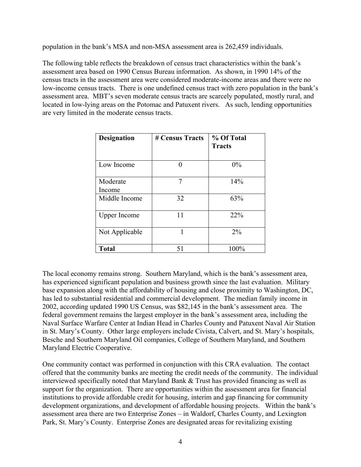population in the bank's MSA and non-MSA assessment area is 262,459 individuals.

The following table reflects the breakdown of census tract characteristics within the bank's assessment area based on 1990 Census Bureau information. As shown, in 1990 14% of the census tracts in the assessment area were considered moderate-income areas and there were no low-income census tracts. There is one undefined census tract with zero population in the bank's assessment area. MBT's seven moderate census tracts are scarcely populated, mostly rural, and located in low-lying areas on the Potomac and Patuxent rivers. As such, lending opportunities are very limited in the moderate census tracts.

| Designation         | # Census Tracts | % Of Total<br><b>Tracts</b> |
|---------------------|-----------------|-----------------------------|
| Low Income          |                 | $0\%$                       |
| Moderate<br>Income  | 7               | 14%                         |
| Middle Income       | 32              | 63%                         |
| <b>Upper Income</b> | 11              | 22%                         |
| Not Applicable      |                 | $2\%$                       |
| <b>Total</b>        | 51              | 100%                        |

The local economy remains strong. Southern Maryland, which is the bank's assessment area, has experienced significant population and business growth since the last evaluation. Military base expansion along with the affordability of housing and close proximity to Washington, DC, has led to substantial residential and commercial development. The median family income in 2002, according updated 1990 US Census, was \$82,145 in the bank's assessment area. The federal government remains the largest employer in the bank's assessment area, including the Naval Surface Warfare Center at Indian Head in Charles County and Patuxent Naval Air Station in St. Mary's County. Other large employers include Civista, Calvert, and St. Mary's hospitals, Besche and Southern Maryland Oil companies, College of Southern Maryland, and Southern Maryland Electric Cooperative.

One community contact was performed in conjunction with this CRA evaluation. The contact offered that the community banks are meeting the credit needs of the community. The individual interviewed specifically noted that Maryland Bank & Trust has provided financing as well as support for the organization. There are opportunities within the assessment area for financial institutions to provide affordable credit for housing, interim and gap financing for community development organizations, and development of affordable housing projects. Within the bank's assessment area there are two Enterprise Zones – in Waldorf, Charles County, and Lexington Park, St. Mary's County. Enterprise Zones are designated areas for revitalizing existing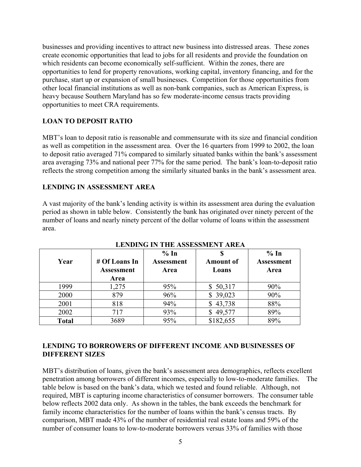businesses and providing incentives to attract new business into distressed areas. These zones create economic opportunities that lead to jobs for all residents and provide the foundation on which residents can become economically self-sufficient. Within the zones, there are opportunities to lend for property renovations, working capital, inventory financing, and for the purchase, start up or expansion of small businesses. Competition for those opportunities from other local financial institutions as well as non-bank companies, such as American Express, is heavy because Southern Maryland has so few moderate-income census tracts providing opportunities to meet CRA requirements.

## **LOAN TO DEPOSIT RATIO**

MBT's loan to deposit ratio is reasonable and commensurate with its size and financial condition as well as competition in the assessment area. Over the 16 quarters from 1999 to 2002, the loan to deposit ratio averaged 71% compared to similarly situated banks within the bank's assessment area averaging 73% and national peer 77% for the same period. The bank's loan-to-deposit ratio reflects the strong competition among the similarly situated banks in the bank's assessment area.

## **LENDING IN ASSESSMENT AREA**

A vast majority of the bank's lending activity is within its assessment area during the evaluation period as shown in table below. Consistently the bank has originated over ninety percent of the number of loans and nearly ninety percent of the dollar volume of loans within the assessment area.

| Year         | # Of Loans In<br><b>Assessment</b><br>Area | % In<br><b>Assessment</b><br>Area | <b>Amount of</b><br>Loans | % In<br><b>Assessment</b><br>Area |
|--------------|--------------------------------------------|-----------------------------------|---------------------------|-----------------------------------|
| 1999         | 1,275                                      | 95%                               | \$50,317                  | 90%                               |
| 2000         | 879                                        | 96%                               | \$39,023                  | 90%                               |
| 2001         | 818                                        | 94%                               | \$43,738                  | 88%                               |
| 2002         | 717                                        | 93%                               | \$49,577                  | 89%                               |
| <b>Total</b> | 3689                                       | 95%                               | \$182,655                 | 89%                               |

**LENDING IN THE ASSESSMENT AREA** 

## **LENDING TO BORROWERS OF DIFFERENT INCOME AND BUSINESSES OF DIFFERENT SIZES**

MBT's distribution of loans, given the bank's assessment area demographics, reflects excellent penetration among borrowers of different incomes, especially to low-to-moderate families. The table below is based on the bank's data, which we tested and found reliable. Although, not required, MBT is capturing income characteristics of consumer borrowers. The consumer table below reflects 2002 data only. As shown in the tables, the bank exceeds the benchmark for family income characteristics for the number of loans within the bank's census tracts. By comparison, MBT made 43% of the number of residential real estate loans and 59% of the number of consumer loans to low-to-moderate borrowers versus 33% of families with those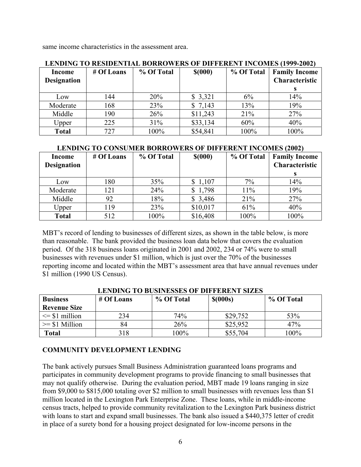same income characteristics in the assessment area.

| LENDIN TV RESIDENTIAL DORRVNERS OF DIFFERENT INCOMES (1777-4004) |            |            |          |            |                      |  |  |  |  |
|------------------------------------------------------------------|------------|------------|----------|------------|----------------------|--|--|--|--|
| Income                                                           | # Of Loans | % Of Total | \$(000)  | % Of Total | <b>Family Income</b> |  |  |  |  |
| <b>Designation</b>                                               |            |            |          |            | Characteristic       |  |  |  |  |
|                                                                  |            |            |          |            |                      |  |  |  |  |
| Low                                                              | 144        | 20%        | \$3,321  | 6%         | 14%                  |  |  |  |  |
| Moderate                                                         | 168        | 23%        | \$7,143  | 13%        | 19%                  |  |  |  |  |
| Middle                                                           | 190        | 26%        | \$11,243 | 21%        | 27%                  |  |  |  |  |
| Upper                                                            | 225        | 31%        | \$33,134 | 60%        | 40%                  |  |  |  |  |
| <b>Total</b>                                                     | 727        | 100%       | \$54,841 | 100%       | 100%                 |  |  |  |  |

#### **LENDING TO RESIDENTIAL BORROWERS OF DIFFERENT INCOMES (1999-2002)**

## **LENDING TO CONSUMER BORROWERS OF DIFFERENT INCOMES (2002)**

| Income<br><b>Designation</b> | # Of Loans | % Of Total | \$(000)  | % Of Total | <b>Family Income</b><br>Characteristic |
|------------------------------|------------|------------|----------|------------|----------------------------------------|
| Low                          | 180        | 35%        | \$1,107  | $7\%$      | 14%                                    |
| Moderate                     | 121        | 24%        | \$1,798  | 11%        | 19%                                    |
| Middle                       | 92         | 18%        | \$3,486  | 21%        | 27%                                    |
| Upper                        | 119        | 23%        | \$10,017 | 61%        | 40%                                    |
| <b>Total</b>                 | 512        | 100%       | \$16,408 | 100%       | 100%                                   |

MBT's record of lending to businesses of different sizes, as shown in the table below, is more than reasonable. The bank provided the business loan data below that covers the evaluation period. Of the 318 business loans originated in 2001 and 2002, 234 or 74% were to small businesses with revenues under \$1 million, which is just over the 70% of the businesses reporting income and located within the MBT's assessment area that have annual revenues under \$1 million (1990 US Census).

| ерирну то вознувает от ритенент анев |                          |         |            |            |  |  |  |  |
|--------------------------------------|--------------------------|---------|------------|------------|--|--|--|--|
| <b>Business</b>                      | % Of Total<br># Of Loans |         | $$$ (000s) | % Of Total |  |  |  |  |
| <b>Revenue Size</b>                  |                          |         |            |            |  |  |  |  |
| $\leq$ \$1 million                   | 234                      | 74%     | \$29,752   | 53%        |  |  |  |  |
| $>= $1$ Million                      | 84                       | 26%     | \$25,952   | 47%        |  |  |  |  |
| <b>Total</b>                         | 318                      | $100\%$ | \$55,704   | $100\%$    |  |  |  |  |

#### **LENDING TO BUSINESSES OF DIFFERENT SIZES**

## **COMMUNITY DEVELOPMENT LENDING**

The bank actively pursues Small Business Administration guaranteed loans programs and participates in community development programs to provide financing to small businesses that may not qualify otherwise. During the evaluation period, MBT made 19 loans ranging in size from \$9,000 to \$815,000 totaling over \$2 million to small businesses with revenues less than \$1 million located in the Lexington Park Enterprise Zone. These loans, while in middle-income census tracts, helped to provide community revitalization to the Lexington Park business district with loans to start and expand small businesses. The bank also issued a \$440,375 letter of credit in place of a surety bond for a housing project designated for low-income persons in the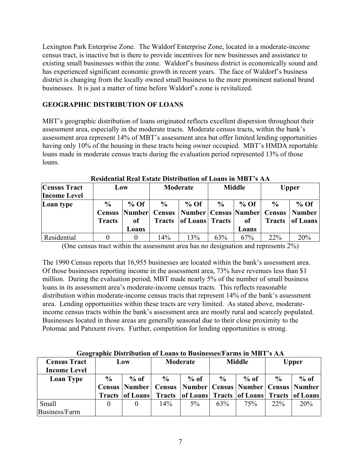Lexington Park Enterprise Zone. The Waldorf Enterprise Zone, located in a moderate-income census tract, is inactive but is there to provide incentives for new businesses and assistance to existing small businesses within the zone. Waldorf's business district is economically sound and has experienced significant economic growth in recent years. The face of Waldorf's business district is changing from the locally owned small business to the more prominent national brand businesses. It is just a matter of time before Waldorf's zone is revitalized.

## **GEOGRAPHIC DISTRIBUTION OF LOANS**

MBT's geographic distribution of loans originated reflects excellent dispersion throughout their assessment area, especially in the moderate tracts. Moderate census tracts, within the bank's assessment area represent 14% of MBT's assessment area but offer limited lending opportunities having only 10% of the housing in these tracts being owner occupied. MBT's HMDA reportable loans made in moderate census tracts during the evaluation period represented 13% of those loans.

| <b>Census Tract</b><br><b>Income Level</b> | Low                            |                       | Moderate                       |                                                                                             | <b>Middle</b> |                       | <b>Upper</b>  |                                  |
|--------------------------------------------|--------------------------------|-----------------------|--------------------------------|---------------------------------------------------------------------------------------------|---------------|-----------------------|---------------|----------------------------------|
| Loan type                                  | $\frac{6}{9}$<br><b>Tracts</b> | $%$ Of<br>оf<br>Loans | $\frac{6}{9}$<br><b>Tracts</b> | $%$ Of<br><b>Census Number Census Number Census Number Census Number</b><br>of Loans Tracts | $\frac{0}{0}$ | $%$ Of<br>of<br>Loans | $\frac{6}{9}$ | $%$ Of<br><b>Tracts</b> of Loans |
| <b>Residential</b>                         |                                |                       | 14%                            | 13%                                                                                         | 63%           | 67%                   | $22\%$        | 20%                              |

**Residential Real Estate Distribution of Loans in MBT's AA** 

(One census tract within the assessment area has no designation and represents 2%)

The 1990 Census reports that 16,955 businesses are located within the bank's assessment area. Of those businesses reporting income in the assessment area, 73% have revenues less than \$1 million. During the evaluation period, MBT made nearly 5% of the number of small business loans in its assessment area's moderate-income census tracts. This reflects reasonable distribution within moderate-income census tracts that represent 14% of the bank's assessment area. Lending opportunities within these tracts are very limited. As stated above, moderateincome census tracts within the bank's assessment area are mostly rural and scarcely populated. Businesses located in those areas are generally seasonal due to their close proximity to the Potomac and Patuxent rivers. Further, competition for lending opportunities is strong.

| <b>Census Tract</b><br><b>Income Level</b> | Low           |                          | Moderate      |                                                              | <b>Middle</b> |        | <b>Upper</b>  |        |
|--------------------------------------------|---------------|--------------------------|---------------|--------------------------------------------------------------|---------------|--------|---------------|--------|
| <b>Loan Type</b>                           | $\frac{6}{9}$ | $%$ of                   | $\frac{6}{9}$ | $%$ of                                                       | $\frac{0}{0}$ | $%$ of | $\frac{6}{9}$ | $%$ of |
|                                            |               | <b>Census   Number  </b> |               | <b>Census   Number   Census   Number   Census   Number  </b> |               |        |               |        |
|                                            |               | <b>Tracts of Loans</b>   |               | Tracts of Loans Tracts of Loans Tracts of Loans              |               |        |               |        |
| Small                                      |               |                          | $14\%$        | $5\%$                                                        | 63%           | 75%    | $22\%$        | 20%    |
| Business/Farm                              |               |                          |               |                                                              |               |        |               |        |

**Geographic Distribution of Loans to Businesses/Farms in MBT's AA**